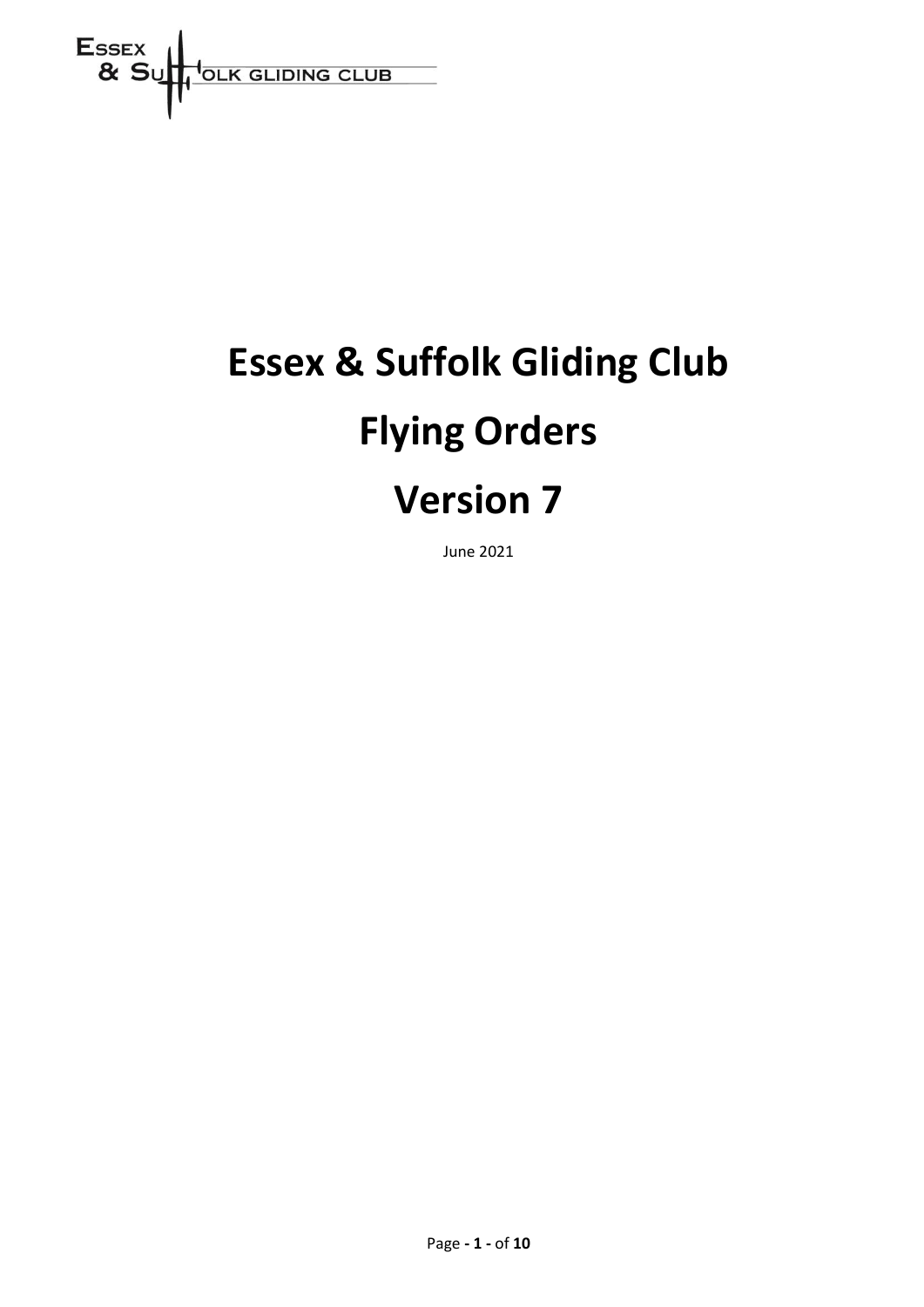

# **Essex & Suffolk Gliding Club Flying Orders Version 7**

June 2021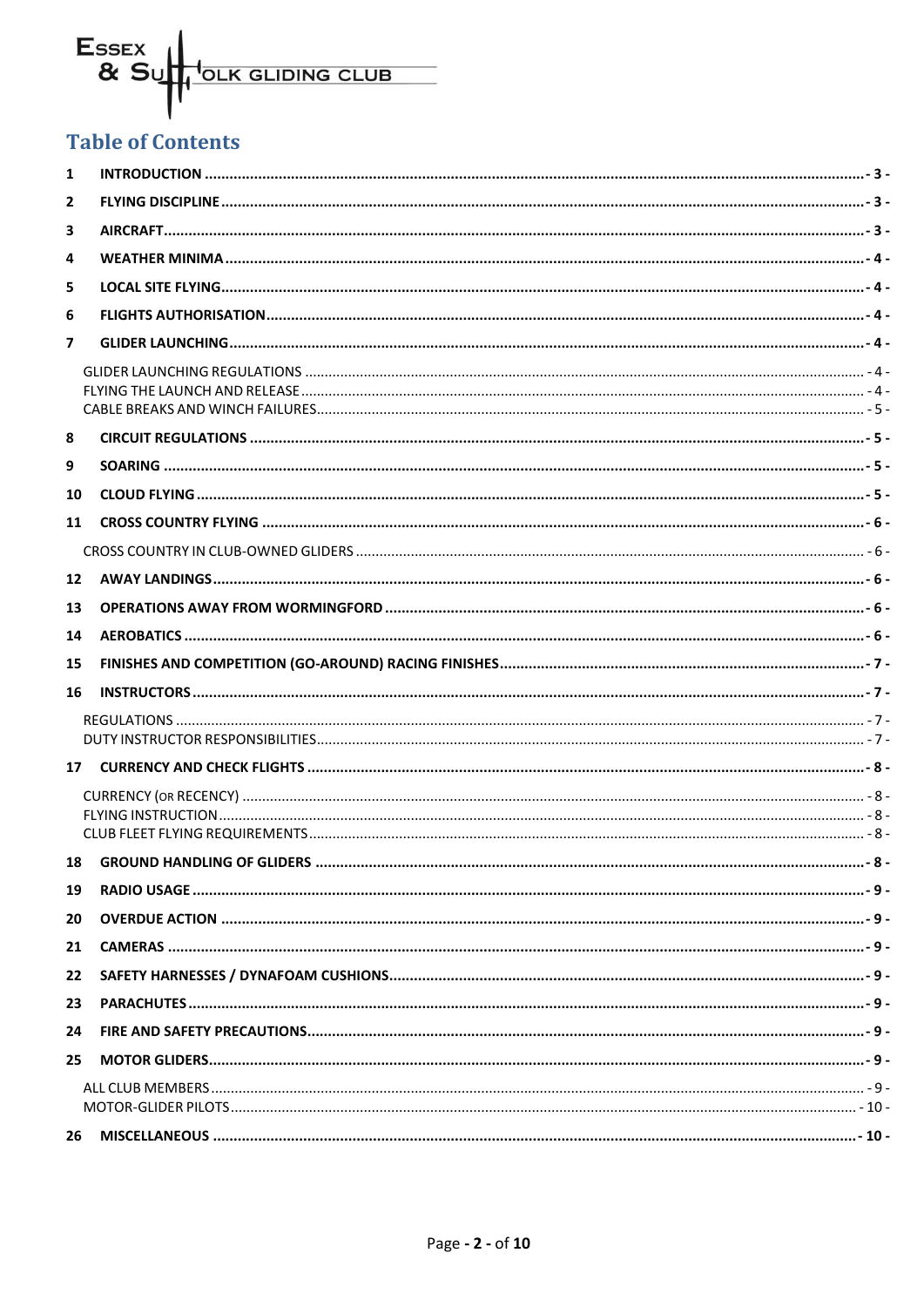# Essex<br>& Su I<sub>OLK GLIDING CLUB</sub>

# **Table of Contents**

| $\mathbf{1}$   |                                                                                                                                                                                                                                                                                                                                                                |  |
|----------------|----------------------------------------------------------------------------------------------------------------------------------------------------------------------------------------------------------------------------------------------------------------------------------------------------------------------------------------------------------------|--|
| 2              |                                                                                                                                                                                                                                                                                                                                                                |  |
| 3              |                                                                                                                                                                                                                                                                                                                                                                |  |
| 4              |                                                                                                                                                                                                                                                                                                                                                                |  |
| 5              |                                                                                                                                                                                                                                                                                                                                                                |  |
| 6              |                                                                                                                                                                                                                                                                                                                                                                |  |
| $\overline{7}$ |                                                                                                                                                                                                                                                                                                                                                                |  |
|                |                                                                                                                                                                                                                                                                                                                                                                |  |
| 8              |                                                                                                                                                                                                                                                                                                                                                                |  |
| 9              |                                                                                                                                                                                                                                                                                                                                                                |  |
| 10             |                                                                                                                                                                                                                                                                                                                                                                |  |
| 11             |                                                                                                                                                                                                                                                                                                                                                                |  |
|                |                                                                                                                                                                                                                                                                                                                                                                |  |
| 12             |                                                                                                                                                                                                                                                                                                                                                                |  |
| 13             |                                                                                                                                                                                                                                                                                                                                                                |  |
| 14             |                                                                                                                                                                                                                                                                                                                                                                |  |
| 15             |                                                                                                                                                                                                                                                                                                                                                                |  |
| 16             |                                                                                                                                                                                                                                                                                                                                                                |  |
|                |                                                                                                                                                                                                                                                                                                                                                                |  |
|                |                                                                                                                                                                                                                                                                                                                                                                |  |
|                | - 8 - قطع المستشر المستشر المستشر المستشر المستشر المستشر المستشر المستشر المستشر المستشر المستشر المستخدم المستخدم المستخدم المستخدم المستخدم المستخدم المستخدم المستخدم المستخدم المستخدم المستخدم المستخدم المستخدم المستخد                                                                                                                                 |  |
|                |                                                                                                                                                                                                                                                                                                                                                                |  |
| 19             |                                                                                                                                                                                                                                                                                                                                                                |  |
| 20             |                                                                                                                                                                                                                                                                                                                                                                |  |
| 21             |                                                                                                                                                                                                                                                                                                                                                                |  |
| 22             |                                                                                                                                                                                                                                                                                                                                                                |  |
| 23             |                                                                                                                                                                                                                                                                                                                                                                |  |
| 24             |                                                                                                                                                                                                                                                                                                                                                                |  |
| 25             |                                                                                                                                                                                                                                                                                                                                                                |  |
|                | - 9 - مستني بين المستني المستني المستني المستني المستني المستني المستني المستني المستني المستني المستني المستني المستني المستني المستني المستني المستني المستني المستني المستني المستني المستني المستني المستني المستني المستن<br>- 10 - سيستني بين سيستني بين سيستني بين سيستني بين سيستني بين سيستني بين سيستني بين سيستني بين المستني و MOTOR-GLIDER PILOTS |  |
|                |                                                                                                                                                                                                                                                                                                                                                                |  |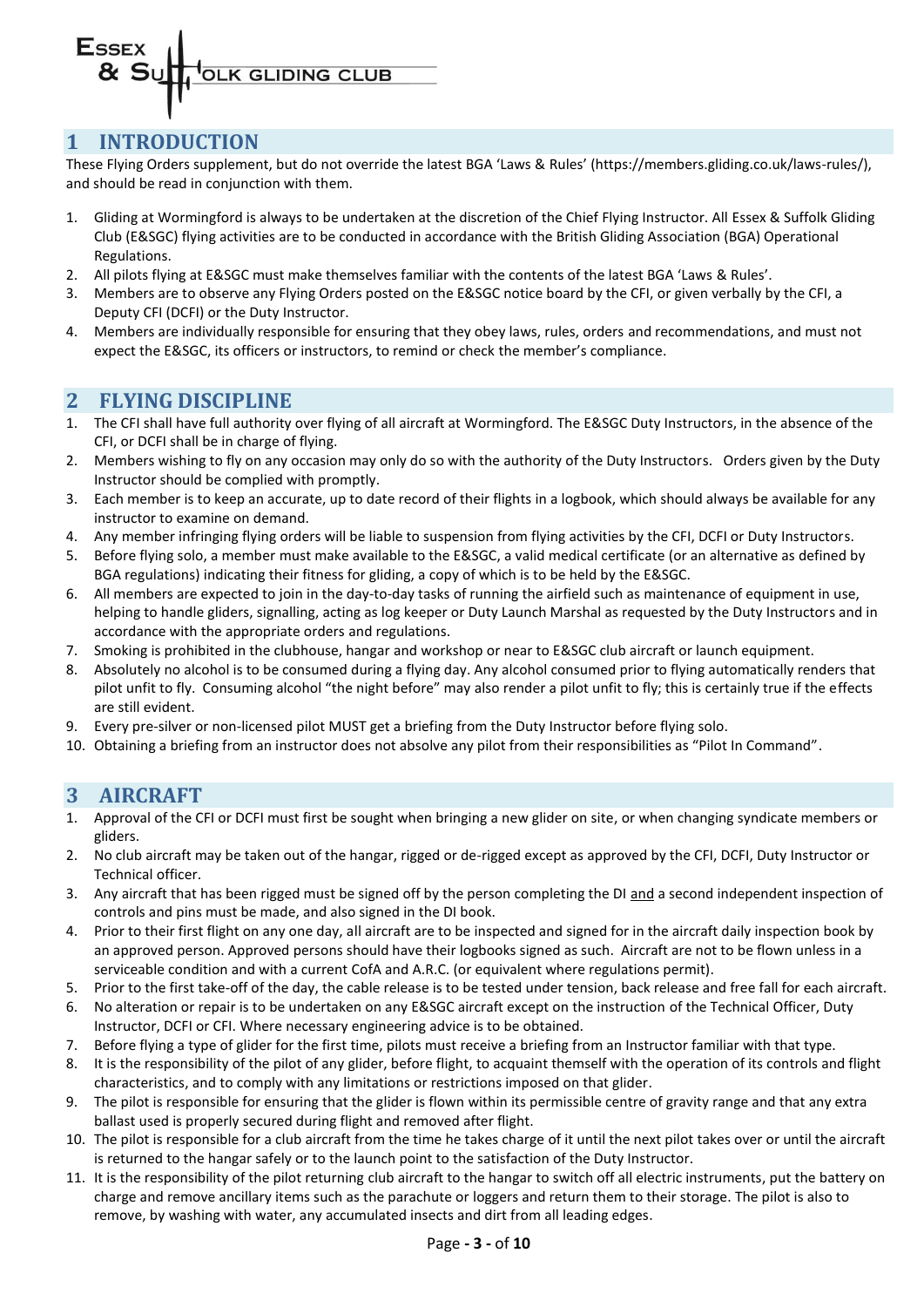#### <span id="page-2-0"></span>**1 INTRODUCTION**

These Flying Orders supplement, but do not override the latest BGA 'Laws & Rules' (https://members.gliding.co.uk/laws-rules/), and should be read in conjunction with them.

- 1. Gliding at Wormingford is always to be undertaken at the discretion of the Chief Flying Instructor. All Essex & Suffolk Gliding Club (E&SGC) flying activities are to be conducted in accordance with the British Gliding Association (BGA) Operational Regulations.
- 2. All pilots flying at E&SGC must make themselves familiar with the contents of the latest BGA 'Laws & Rules'.
- 3. Members are to observe any Flying Orders posted on the E&SGC notice board by the CFI, or given verbally by the CFI, a Deputy CFI (DCFI) or the Duty Instructor.
- 4. Members are individually responsible for ensuring that they obey laws, rules, orders and recommendations, and must not expect the E&SGC, its officers or instructors, to remind or check the member's compliance.

### <span id="page-2-1"></span>**2 FLYING DISCIPLINE**

- 1. The CFI shall have full authority over flying of all aircraft at Wormingford. The E&SGC Duty Instructors, in the absence of the CFI, or DCFI shall be in charge of flying.
- 2. Members wishing to fly on any occasion may only do so with the authority of the Duty Instructors. Orders given by the Duty Instructor should be complied with promptly.
- 3. Each member is to keep an accurate, up to date record of their flights in a logbook, which should always be available for any instructor to examine on demand.
- 4. Any member infringing flying orders will be liable to suspension from flying activities by the CFI, DCFI or Duty Instructors.
- 5. Before flying solo, a member must make available to the E&SGC, a valid medical certificate (or an alternative as defined by BGA regulations) indicating their fitness for gliding, a copy of which is to be held by the E&SGC.
- 6. All members are expected to join in the day-to-day tasks of running the airfield such as maintenance of equipment in use, helping to handle gliders, signalling, acting as log keeper or Duty Launch Marshal as requested by the Duty Instructors and in accordance with the appropriate orders and regulations.
- 7. Smoking is prohibited in the clubhouse, hangar and workshop or near to E&SGC club aircraft or launch equipment.
- 8. Absolutely no alcohol is to be consumed during a flying day. Any alcohol consumed prior to flying automatically renders that pilot unfit to fly. Consuming alcohol "the night before" may also render a pilot unfit to fly; this is certainly true if the effects are still evident.
- 9. Every pre-silver or non-licensed pilot MUST get a briefing from the Duty Instructor before flying solo.
- <span id="page-2-2"></span>10. Obtaining a briefing from an instructor does not absolve any pilot from their responsibilities as "Pilot In Command".

#### **3 AIRCRAFT**

- 1. Approval of the CFI or DCFI must first be sought when bringing a new glider on site, or when changing syndicate members or gliders.
- 2. No club aircraft may be taken out of the hangar, rigged or de-rigged except as approved by the CFI, DCFI, Duty Instructor or Technical officer.
- 3. Any aircraft that has been rigged must be signed off by the person completing the DI and a second independent inspection of controls and pins must be made, and also signed in the DI book.
- 4. Prior to their first flight on any one day, all aircraft are to be inspected and signed for in the aircraft daily inspection book by an approved person. Approved persons should have their logbooks signed as such. Aircraft are not to be flown unless in a serviceable condition and with a current CofA and A.R.C. (or equivalent where regulations permit).
- 5. Prior to the first take-off of the day, the cable release is to be tested under tension, back release and free fall for each aircraft.
- 6. No alteration or repair is to be undertaken on any E&SGC aircraft except on the instruction of the Technical Officer, Duty Instructor, DCFI or CFI. Where necessary engineering advice is to be obtained.
- 7. Before flying a type of glider for the first time, pilots must receive a briefing from an Instructor familiar with that type.
- 8. It is the responsibility of the pilot of any glider, before flight, to acquaint themself with the operation of its controls and flight characteristics, and to comply with any limitations or restrictions imposed on that glider.
- 9. The pilot is responsible for ensuring that the glider is flown within its permissible centre of gravity range and that any extra ballast used is properly secured during flight and removed after flight.
- 10. The pilot is responsible for a club aircraft from the time he takes charge of it until the next pilot takes over or until the aircraft is returned to the hangar safely or to the launch point to the satisfaction of the Duty Instructor.
- 11. It is the responsibility of the pilot returning club aircraft to the hangar to switch off all electric instruments, put the battery on charge and remove ancillary items such as the parachute or loggers and return them to their storage. The pilot is also to remove, by washing with water, any accumulated insects and dirt from all leading edges.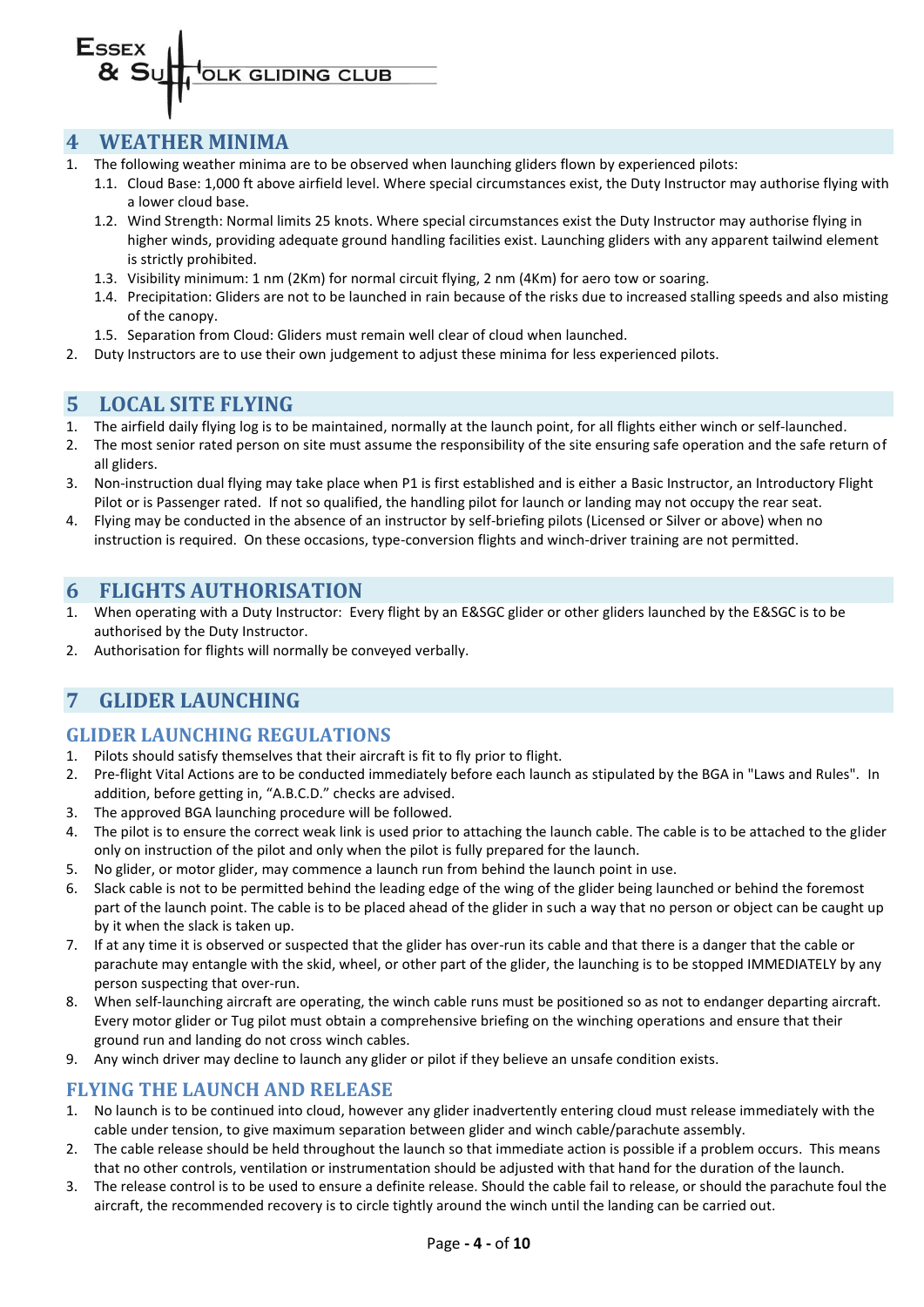

#### <span id="page-3-0"></span>**4 WEATHER MINIMA**

- 1. The following weather minima are to be observed when launching gliders flown by experienced pilots:
	- 1.1. Cloud Base: 1,000 ft above airfield level. Where special circumstances exist, the Duty Instructor may authorise flying with a lower cloud base.
	- 1.2. Wind Strength: Normal limits 25 knots. Where special circumstances exist the Duty Instructor may authorise flying in higher winds, providing adequate ground handling facilities exist. Launching gliders with any apparent tailwind element is strictly prohibited.
	- 1.3. Visibility minimum: 1 nm (2Km) for normal circuit flying, 2 nm (4Km) for aero tow or soaring.
	- 1.4. Precipitation: Gliders are not to be launched in rain because of the risks due to increased stalling speeds and also misting of the canopy.
	- 1.5. Separation from Cloud: Gliders must remain well clear of cloud when launched.
- <span id="page-3-1"></span>2. Duty Instructors are to use their own judgement to adjust these minima for less experienced pilots.

#### **5 LOCAL SITE FLYING**

- 1. The airfield daily flying log is to be maintained, normally at the launch point, for all flights either winch or self-launched.
- 2. The most senior rated person on site must assume the responsibility of the site ensuring safe operation and the safe return of all gliders.
- 3. Non-instruction dual flying may take place when P1 is first established and is either a Basic Instructor, an Introductory Flight Pilot or is Passenger rated. If not so qualified, the handling pilot for launch or landing may not occupy the rear seat.
- 4. Flying may be conducted in the absence of an instructor by self-briefing pilots (Licensed or Silver or above) when no instruction is required. On these occasions, type-conversion flights and winch-driver training are not permitted.

## <span id="page-3-2"></span>**6 FLIGHTS AUTHORISATION**

- 1. When operating with a Duty Instructor: Every flight by an E&SGC glider or other gliders launched by the E&SGC is to be authorised by the Duty Instructor.
- <span id="page-3-3"></span>2. Authorisation for flights will normally be conveyed verbally.

# **7 GLIDER LAUNCHING**

#### <span id="page-3-4"></span>**GLIDER LAUNCHING REGULATIONS**

- 1. Pilots should satisfy themselves that their aircraft is fit to fly prior to flight.
- 2. Pre-flight Vital Actions are to be conducted immediately before each launch as stipulated by the BGA in "Laws and Rules". In addition, before getting in, "A.B.C.D." checks are advised.
- 3. The approved BGA launching procedure will be followed.
- 4. The pilot is to ensure the correct weak link is used prior to attaching the launch cable. The cable is to be attached to the glider only on instruction of the pilot and only when the pilot is fully prepared for the launch.
- 5. No glider, or motor glider, may commence a launch run from behind the launch point in use.
- 6. Slack cable is not to be permitted behind the leading edge of the wing of the glider being launched or behind the foremost part of the launch point. The cable is to be placed ahead of the glider in such a way that no person or object can be caught up by it when the slack is taken up.
- 7. If at any time it is observed or suspected that the glider has over-run its cable and that there is a danger that the cable or parachute may entangle with the skid, wheel, or other part of the glider, the launching is to be stopped IMMEDIATELY by any person suspecting that over-run.
- 8. When self-launching aircraft are operating, the winch cable runs must be positioned so as not to endanger departing aircraft. Every motor glider or Tug pilot must obtain a comprehensive briefing on the winching operations and ensure that their ground run and landing do not cross winch cables.
- 9. Any winch driver may decline to launch any glider or pilot if they believe an unsafe condition exists.

#### <span id="page-3-5"></span>**FLYING THE LAUNCH AND RELEASE**

- 1. No launch is to be continued into cloud, however any glider inadvertently entering cloud must release immediately with the cable under tension, to give maximum separation between glider and winch cable/parachute assembly.
- 2. The cable release should be held throughout the launch so that immediate action is possible if a problem occurs. This means that no other controls, ventilation or instrumentation should be adjusted with that hand for the duration of the launch.
- 3. The release control is to be used to ensure a definite release. Should the cable fail to release, or should the parachute foul the aircraft, the recommended recovery is to circle tightly around the winch until the landing can be carried out.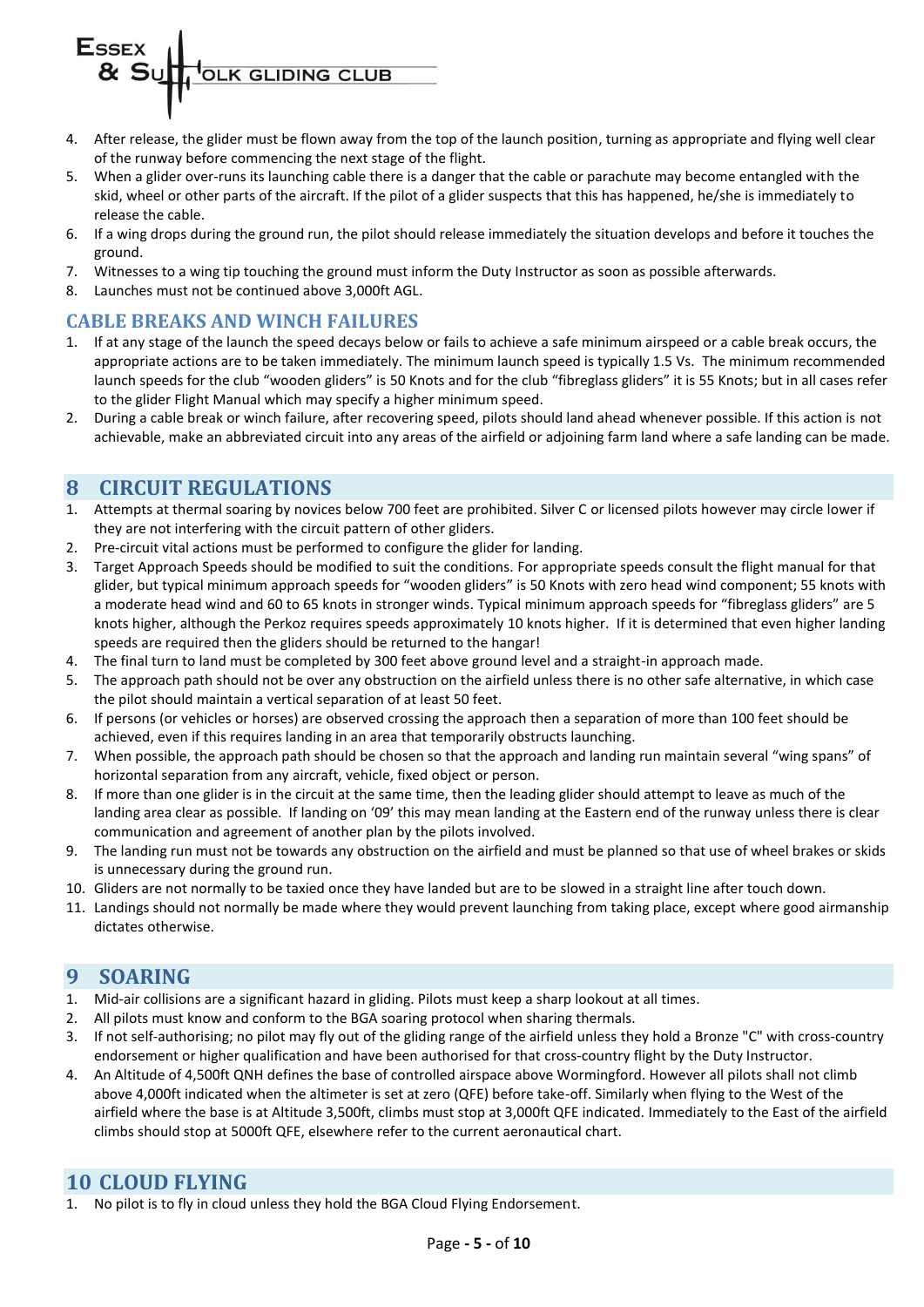- 4. After release, the glider must be flown away from the top of the launch position, turning as appropriate and flying well clear of the runway before commencing the next stage of the flight.
- 5. When a glider over-runs its launching cable there is a danger that the cable or parachute may become entangled with the skid, wheel or other parts of the aircraft. If the pilot of a glider suspects that this has happened, he/she is immediately to release the cable.
- 6. If a wing drops during the ground run, the pilot should release immediately the situation develops and before it touches the ground.
- 7. Witnesses to a wing tip touching the ground must inform the Duty Instructor as soon as possible afterwards.
- 8. Launches must not be continued above 3,000ft AGL.

#### <span id="page-4-0"></span>**CABLE BREAKS AND WINCH FAILURES**

- 1. If at any stage of the launch the speed decays below or fails to achieve a safe minimum airspeed or a cable break occurs, the appropriate actions are to be taken immediately. The minimum launch speed is typically 1.5 Vs. The minimum recommended launch speeds for the club "wooden gliders" is 50 Knots and for the club "fibreglass gliders" it is 55 Knots; but in all cases refer to the glider Flight Manual which may specify a higher minimum speed.
- 2. During a cable break or winch failure, after recovering speed, pilots should land ahead whenever possible. If this action is not achievable, make an abbreviated circuit into any areas of the airfield or adjoining farm land where a safe landing can be made.

### <span id="page-4-1"></span>**8 CIRCUIT REGULATIONS**

- 1. Attempts at thermal soaring by novices below 700 feet are prohibited. Silver C or licensed pilots however may circle lower if they are not interfering with the circuit pattern of other gliders.
- 2. Pre-circuit vital actions must be performed to configure the glider for landing.
- 3. Target Approach Speeds should be modified to suit the conditions. For appropriate speeds consult the flight manual for that glider, but typical minimum approach speeds for "wooden gliders" is 50 Knots with zero head wind component; 55 knots with a moderate head wind and 60 to 65 knots in stronger winds. Typical minimum approach speeds for "fibreglass gliders" are 5 knots higher, although the Perkoz requires speeds approximately 10 knots higher. If it is determined that even higher landing speeds are required then the gliders should be returned to the hangar!
- 4. The final turn to land must be completed by 300 feet above ground level and a straight-in approach made.
- 5. The approach path should not be over any obstruction on the airfield unless there is no other safe alternative, in which case the pilot should maintain a vertical separation of at least 50 feet.
- 6. If persons (or vehicles or horses) are observed crossing the approach then a separation of more than 100 feet should be achieved, even if this requires landing in an area that temporarily obstructs launching.
- 7. When possible, the approach path should be chosen so that the approach and landing run maintain several "wing spans" of horizontal separation from any aircraft, vehicle, fixed object or person.
- 8. If more than one glider is in the circuit at the same time, then the leading glider should attempt to leave as much of the landing area clear as possible. If landing on '09' this may mean landing at the Eastern end of the runway unless there is clear communication and agreement of another plan by the pilots involved.
- 9. The landing run must not be towards any obstruction on the airfield and must be planned so that use of wheel brakes or skids is unnecessary during the ground run.
- 10. Gliders are not normally to be taxied once they have landed but are to be slowed in a straight line after touch down.
- 11. Landings should not normally be made where they would prevent launching from taking place, except where good airmanship dictates otherwise.

#### <span id="page-4-2"></span>**9 SOARING**

- 1. Mid-air collisions are a significant hazard in gliding. Pilots must keep a sharp lookout at all times.
- 2. All pilots must know and conform to the BGA soaring protocol when sharing thermals.
- 3. If not self-authorising; no pilot may fly out of the gliding range of the airfield unless they hold a Bronze "C" with cross-country endorsement or higher qualification and have been authorised for that cross-country flight by the Duty Instructor.
- 4. An Altitude of 4,500ft QNH defines the base of controlled airspace above Wormingford. However all pilots shall not climb above 4,000ft indicated when the altimeter is set at zero (QFE) before take-off. Similarly when flying to the West of the airfield where the base is at Altitude 3,500ft, climbs must stop at 3,000ft QFE indicated. Immediately to the East of the airfield climbs should stop at 5000ft QFE, elsewhere refer to the current aeronautical chart.

### <span id="page-4-3"></span>**10 CLOUD FLYING**

1. No pilot is to fly in cloud unless they hold the BGA Cloud Flying Endorsement.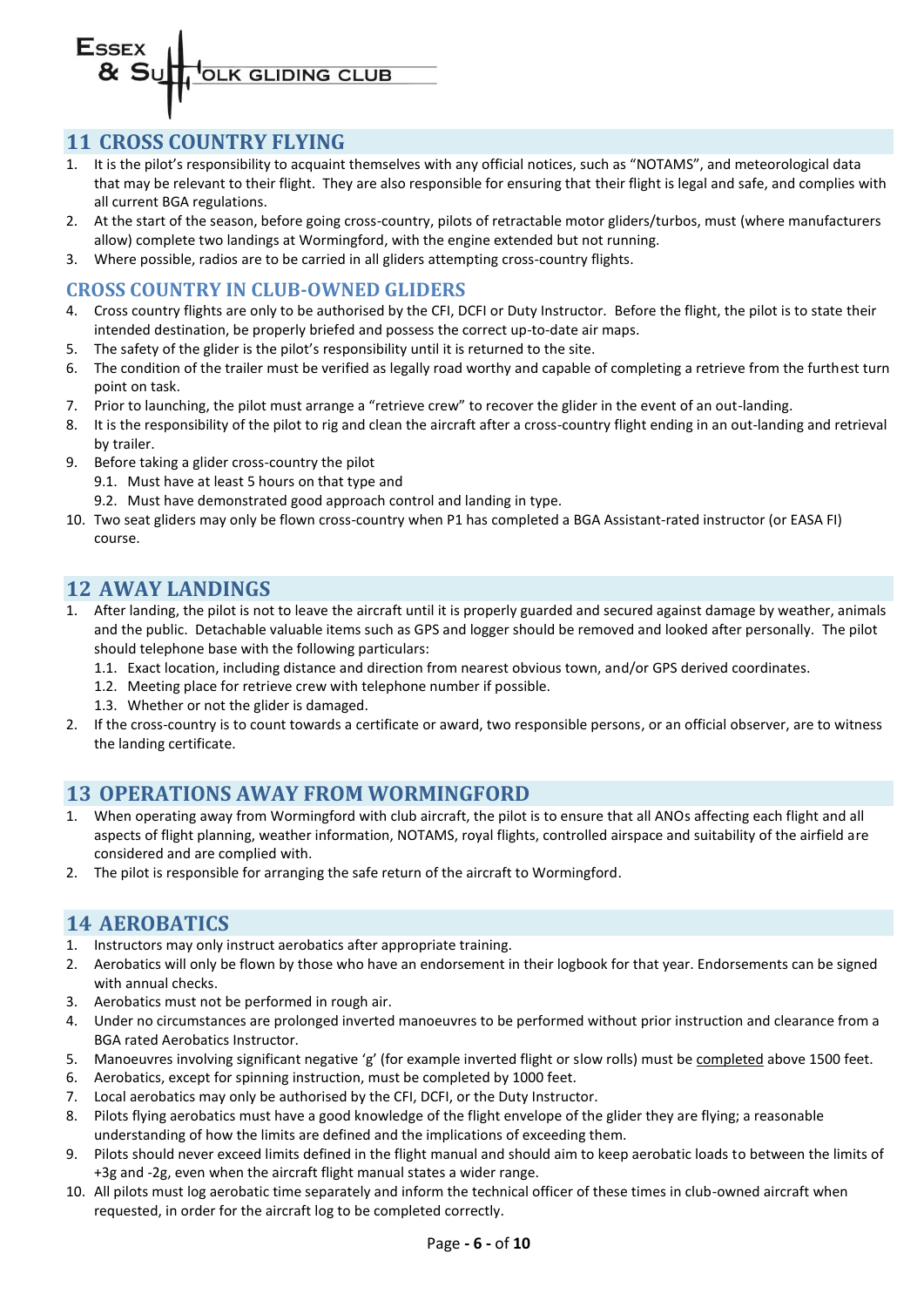### <span id="page-5-0"></span>**11 CROSS COUNTRY FLYING**

- 1. It is the pilot's responsibility to acquaint themselves with any official notices, such as "NOTAMS", and meteorological data that may be relevant to their flight. They are also responsible for ensuring that their flight is legal and safe, and complies with all current BGA regulations.
- 2. At the start of the season, before going cross-country, pilots of retractable motor gliders/turbos, must (where manufacturers allow) complete two landings at Wormingford, with the engine extended but not running.
- 3. Where possible, radios are to be carried in all gliders attempting cross-country flights.

# <span id="page-5-1"></span>**CROSS COUNTRY IN CLUB-OWNED GLIDERS**

- 4. Cross country flights are only to be authorised by the CFI, DCFI or Duty Instructor. Before the flight, the pilot is to state their intended destination, be properly briefed and possess the correct up-to-date air maps.
- 5. The safety of the glider is the pilot's responsibility until it is returned to the site.
- 6. The condition of the trailer must be verified as legally road worthy and capable of completing a retrieve from the furthest turn point on task.
- 7. Prior to launching, the pilot must arrange a "retrieve crew" to recover the glider in the event of an out-landing.
- 8. It is the responsibility of the pilot to rig and clean the aircraft after a cross-country flight ending in an out-landing and retrieval by trailer.
- 9. Before taking a glider cross-country the pilot
	- 9.1. Must have at least 5 hours on that type and
	- 9.2. Must have demonstrated good approach control and landing in type.
- 10. Two seat gliders may only be flown cross-country when P1 has completed a BGA Assistant-rated instructor (or EASA FI) course.

# <span id="page-5-2"></span>**12 AWAY LANDINGS**

- 1. After landing, the pilot is not to leave the aircraft until it is properly guarded and secured against damage by weather, animals and the public. Detachable valuable items such as GPS and logger should be removed and looked after personally. The pilot should telephone base with the following particulars:
	- 1.1. Exact location, including distance and direction from nearest obvious town, and/or GPS derived coordinates.
	- 1.2. Meeting place for retrieve crew with telephone number if possible.
	- 1.3. Whether or not the glider is damaged.
- 2. If the cross-country is to count towards a certificate or award, two responsible persons, or an official observer, are to witness the landing certificate.

### <span id="page-5-3"></span>**13 OPERATIONS AWAY FROM WORMINGFORD**

- 1. When operating away from Wormingford with club aircraft, the pilot is to ensure that all ANOs affecting each flight and all aspects of flight planning, weather information, NOTAMS, royal flights, controlled airspace and suitability of the airfield are considered and are complied with.
- <span id="page-5-4"></span>2. The pilot is responsible for arranging the safe return of the aircraft to Wormingford.

### **14 AEROBATICS**

- 1. Instructors may only instruct aerobatics after appropriate training.
- 2. Aerobatics will only be flown by those who have an endorsement in their logbook for that year. Endorsements can be signed with annual checks.
- 3. Aerobatics must not be performed in rough air.
- 4. Under no circumstances are prolonged inverted manoeuvres to be performed without prior instruction and clearance from a BGA rated Aerobatics Instructor.
- 5. Manoeuvres involving significant negative 'g' (for example inverted flight or slow rolls) must be completed above 1500 feet.
- 6. Aerobatics, except for spinning instruction, must be completed by 1000 feet.
- 7. Local aerobatics may only be authorised by the CFI, DCFI, or the Duty Instructor.
- 8. Pilots flying aerobatics must have a good knowledge of the flight envelope of the glider they are flying; a reasonable understanding of how the limits are defined and the implications of exceeding them.
- 9. Pilots should never exceed limits defined in the flight manual and should aim to keep aerobatic loads to between the limits of +3g and -2g, even when the aircraft flight manual states a wider range.
- 10. All pilots must log aerobatic time separately and inform the technical officer of these times in club-owned aircraft when requested, in order for the aircraft log to be completed correctly.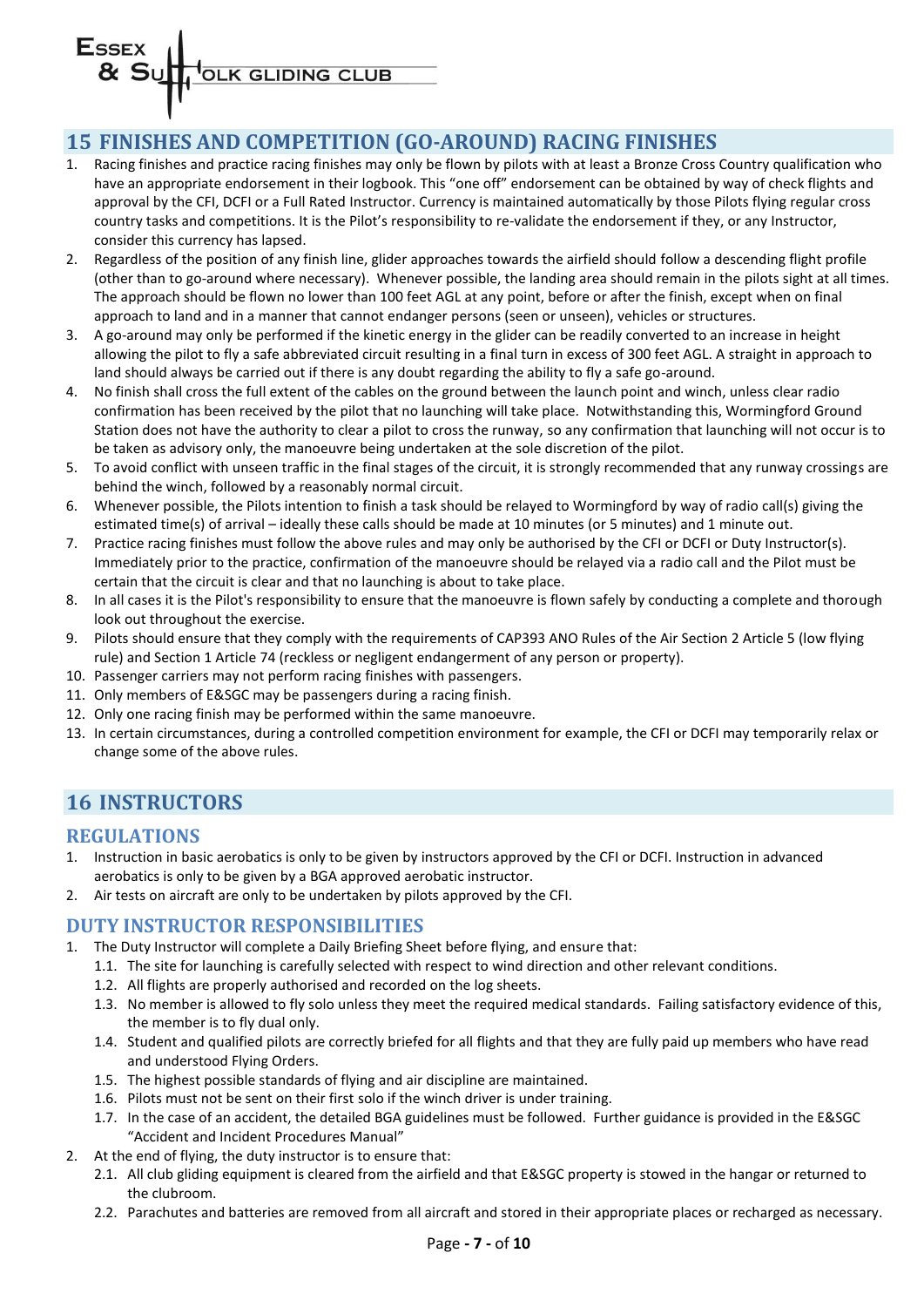# **Essex** OLK GLIDING CLUB

# <span id="page-6-0"></span>**15 FINISHES AND COMPETITION (GO-AROUND) RACING FINISHES**

- 1. Racing finishes and practice racing finishes may only be flown by pilots with at least a Bronze Cross Country qualification who have an appropriate endorsement in their logbook. This "one off" endorsement can be obtained by way of check flights and approval by the CFI, DCFI or a Full Rated Instructor. Currency is maintained automatically by those Pilots flying regular cross country tasks and competitions. It is the Pilot's responsibility to re-validate the endorsement if they, or any Instructor, consider this currency has lapsed.
- 2. Regardless of the position of any finish line, glider approaches towards the airfield should follow a descending flight profile (other than to go-around where necessary). Whenever possible, the landing area should remain in the pilots sight at all times. The approach should be flown no lower than 100 feet AGL at any point, before or after the finish, except when on final approach to land and in a manner that cannot endanger persons (seen or unseen), vehicles or structures.
- 3. A go-around may only be performed if the kinetic energy in the glider can be readily converted to an increase in height allowing the pilot to fly a safe abbreviated circuit resulting in a final turn in excess of 300 feet AGL. A straight in approach to land should always be carried out if there is any doubt regarding the ability to fly a safe go-around.
- 4. No finish shall cross the full extent of the cables on the ground between the launch point and winch, unless clear radio confirmation has been received by the pilot that no launching will take place. Notwithstanding this, Wormingford Ground Station does not have the authority to clear a pilot to cross the runway, so any confirmation that launching will not occur is to be taken as advisory only, the manoeuvre being undertaken at the sole discretion of the pilot.
- 5. To avoid conflict with unseen traffic in the final stages of the circuit, it is strongly recommended that any runway crossings are behind the winch, followed by a reasonably normal circuit.
- 6. Whenever possible, the Pilots intention to finish a task should be relayed to Wormingford by way of radio call(s) giving the estimated time(s) of arrival – ideally these calls should be made at 10 minutes (or 5 minutes) and 1 minute out.
- 7. Practice racing finishes must follow the above rules and may only be authorised by the CFI or DCFI or Duty Instructor(s). Immediately prior to the practice, confirmation of the manoeuvre should be relayed via a radio call and the Pilot must be certain that the circuit is clear and that no launching is about to take place.
- 8. In all cases it is the Pilot's responsibility to ensure that the manoeuvre is flown safely by conducting a complete and thorough look out throughout the exercise.
- 9. Pilots should ensure that they comply with the requirements of CAP393 ANO Rules of the Air Section 2 Article 5 (low flying rule) and Section 1 Article 74 (reckless or negligent endangerment of any person or property).
- 10. Passenger carriers may not perform racing finishes with passengers.
- 11. Only members of E&SGC may be passengers during a racing finish.
- 12. Only one racing finish may be performed within the same manoeuvre.
- 13. In certain circumstances, during a controlled competition environment for example, the CFI or DCFI may temporarily relax or change some of the above rules.

# <span id="page-6-1"></span>**16 INSTRUCTORS**

#### <span id="page-6-2"></span>**REGULATIONS**

- 1. Instruction in basic aerobatics is only to be given by instructors approved by the CFI or DCFI. Instruction in advanced aerobatics is only to be given by a BGA approved aerobatic instructor.
- 2. Air tests on aircraft are only to be undertaken by pilots approved by the CFI.

#### <span id="page-6-3"></span>**DUTY INSTRUCTOR RESPONSIBILITIES**

- 1. The Duty Instructor will complete a Daily Briefing Sheet before flying, and ensure that:
	- 1.1. The site for launching is carefully selected with respect to wind direction and other relevant conditions.
	- 1.2. All flights are properly authorised and recorded on the log sheets.
	- 1.3. No member is allowed to fly solo unless they meet the required medical standards. Failing satisfactory evidence of this, the member is to fly dual only.
	- 1.4. Student and qualified pilots are correctly briefed for all flights and that they are fully paid up members who have read and understood Flying Orders.
	- 1.5. The highest possible standards of flying and air discipline are maintained.
	- 1.6. Pilots must not be sent on their first solo if the winch driver is under training.
	- 1.7. In the case of an accident, the detailed BGA guidelines must be followed. Further guidance is provided in the E&SGC "Accident and Incident Procedures Manual"
- 2. At the end of flying, the duty instructor is to ensure that:
	- 2.1. All club gliding equipment is cleared from the airfield and that E&SGC property is stowed in the hangar or returned to the clubroom.
	- 2.2. Parachutes and batteries are removed from all aircraft and stored in their appropriate places or recharged as necessary.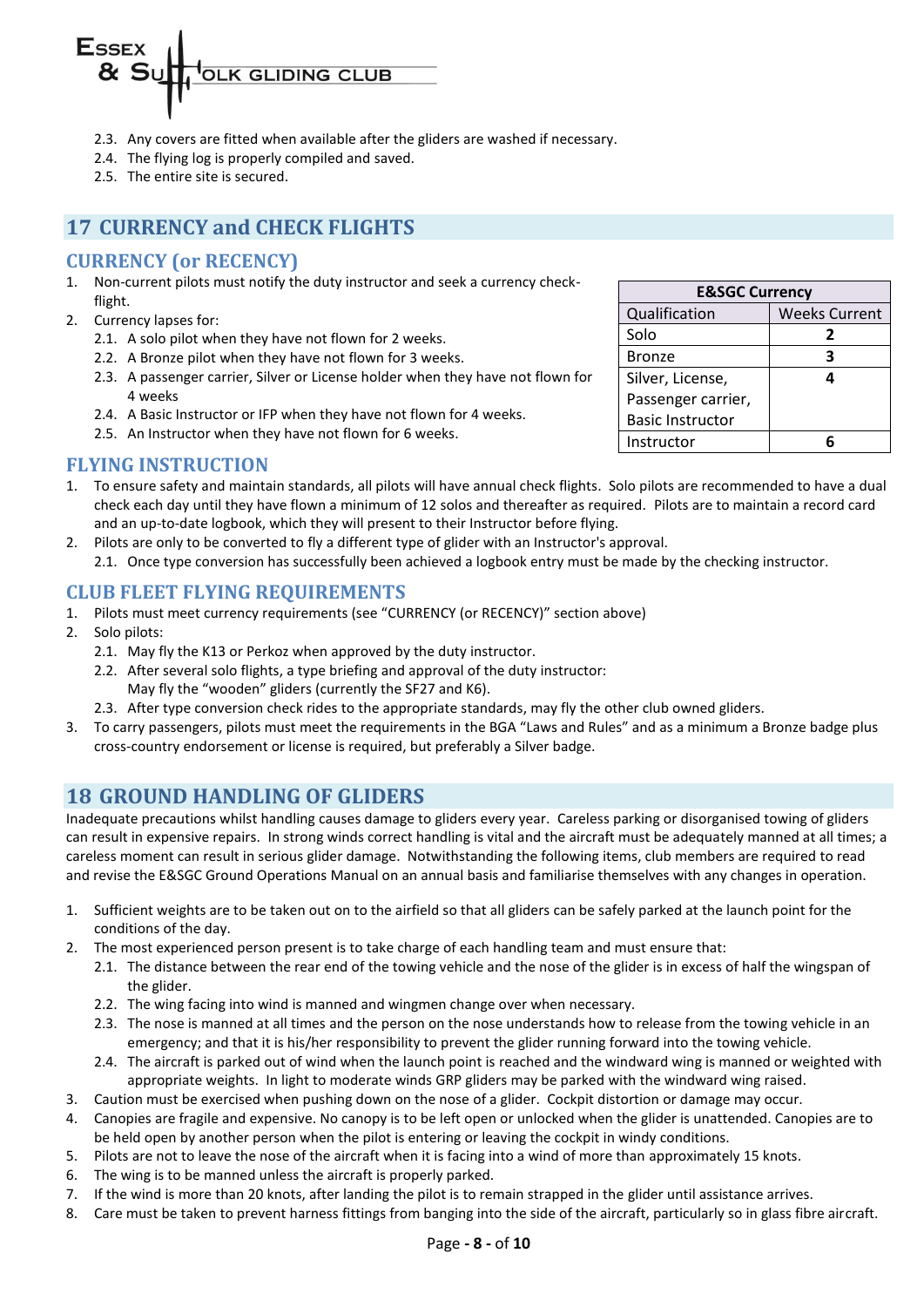

- 2.3. Any covers are fitted when available after the gliders are washed if necessary.
- 2.4. The flying log is properly compiled and saved.
- 2.5. The entire site is secured.

# <span id="page-7-0"></span>**17 CURRENCY and CHECK FLIGHTS**

#### <span id="page-7-1"></span>**CURRENCY (or RECENCY)**

- 1. Non-current pilots must notify the duty instructor and seek a currency checkflight.
- 2. Currency lapses for:
	- 2.1. A solo pilot when they have not flown for 2 weeks.
	- 2.2. A Bronze pilot when they have not flown for 3 weeks.
	- 2.3. A passenger carrier, Silver or License holder when they have not flown for 4 weeks
	- 2.4. A Basic Instructor or IFP when they have not flown for 4 weeks.
	- 2.5. An Instructor when they have not flown for 6 weeks.

#### <span id="page-7-2"></span>**FLYING INSTRUCTION**

- 1. To ensure safety and maintain standards, all pilots will have annual check flights. Solo pilots are recommended to have a dual check each day until they have flown a minimum of 12 solos and thereafter as required. Pilots are to maintain a record card and an up-to-date logbook, which they will present to their Instructor before flying.
- 2. Pilots are only to be converted to fly a different type of glider with an Instructor's approval. 2.1. Once type conversion has successfully been achieved a logbook entry must be made by the checking instructor.

#### <span id="page-7-3"></span>**CLUB FLEET FLYING REQUIREMENTS**

- 1. Pilots must meet currency requirements (see "CURRENCY (or RECENCY)" section above)
- 2. Solo pilots:
	- 2.1. May fly the K13 or Perkoz when approved by the duty instructor.
	- 2.2. After several solo flights, a type briefing and approval of the duty instructor: May fly the "wooden" gliders (currently the SF27 and K6).
	- 2.3. After type conversion check rides to the appropriate standards, may fly the other club owned gliders.
- 3. To carry passengers, pilots must meet the requirements in the BGA "Laws and Rules" and as a minimum a Bronze badge plus cross-country endorsement or license is required, but preferably a Silver badge.

### <span id="page-7-4"></span>**18 GROUND HANDLING OF GLIDERS**

Inadequate precautions whilst handling causes damage to gliders every year. Careless parking or disorganised towing of gliders can result in expensive repairs. In strong winds correct handling is vital and the aircraft must be adequately manned at all times; a careless moment can result in serious glider damage. Notwithstanding the following items, club members are required to read and revise the E&SGC Ground Operations Manual on an annual basis and familiarise themselves with any changes in operation.

- 1. Sufficient weights are to be taken out on to the airfield so that all gliders can be safely parked at the launch point for the conditions of the day.
- 2. The most experienced person present is to take charge of each handling team and must ensure that:
	- 2.1. The distance between the rear end of the towing vehicle and the nose of the glider is in excess of half the wingspan of the glider.
	- 2.2. The wing facing into wind is manned and wingmen change over when necessary.
	- 2.3. The nose is manned at all times and the person on the nose understands how to release from the towing vehicle in an emergency; and that it is his/her responsibility to prevent the glider running forward into the towing vehicle.
	- 2.4. The aircraft is parked out of wind when the launch point is reached and the windward wing is manned or weighted with appropriate weights. In light to moderate winds GRP gliders may be parked with the windward wing raised.
- 3. Caution must be exercised when pushing down on the nose of a glider. Cockpit distortion or damage may occur.
- 4. Canopies are fragile and expensive. No canopy is to be left open or unlocked when the glider is unattended. Canopies are to be held open by another person when the pilot is entering or leaving the cockpit in windy conditions.
- 5. Pilots are not to leave the nose of the aircraft when it is facing into a wind of more than approximately 15 knots.
- 6. The wing is to be manned unless the aircraft is properly parked.
- 7. If the wind is more than 20 knots, after landing the pilot is to remain strapped in the glider until assistance arrives.
- 8. Care must be taken to prevent harness fittings from banging into the side of the aircraft, particularly so in glass fibre aircraft.

| <b>E&amp;SGC Currency</b> |                      |  |  |
|---------------------------|----------------------|--|--|
| Qualification             | <b>Weeks Current</b> |  |  |
| Solo                      | 2                    |  |  |
| <b>Bronze</b>             | 3                    |  |  |
| Silver, License,          | Δ                    |  |  |
| Passenger carrier,        |                      |  |  |
| <b>Basic Instructor</b>   |                      |  |  |
| Instructor                | F                    |  |  |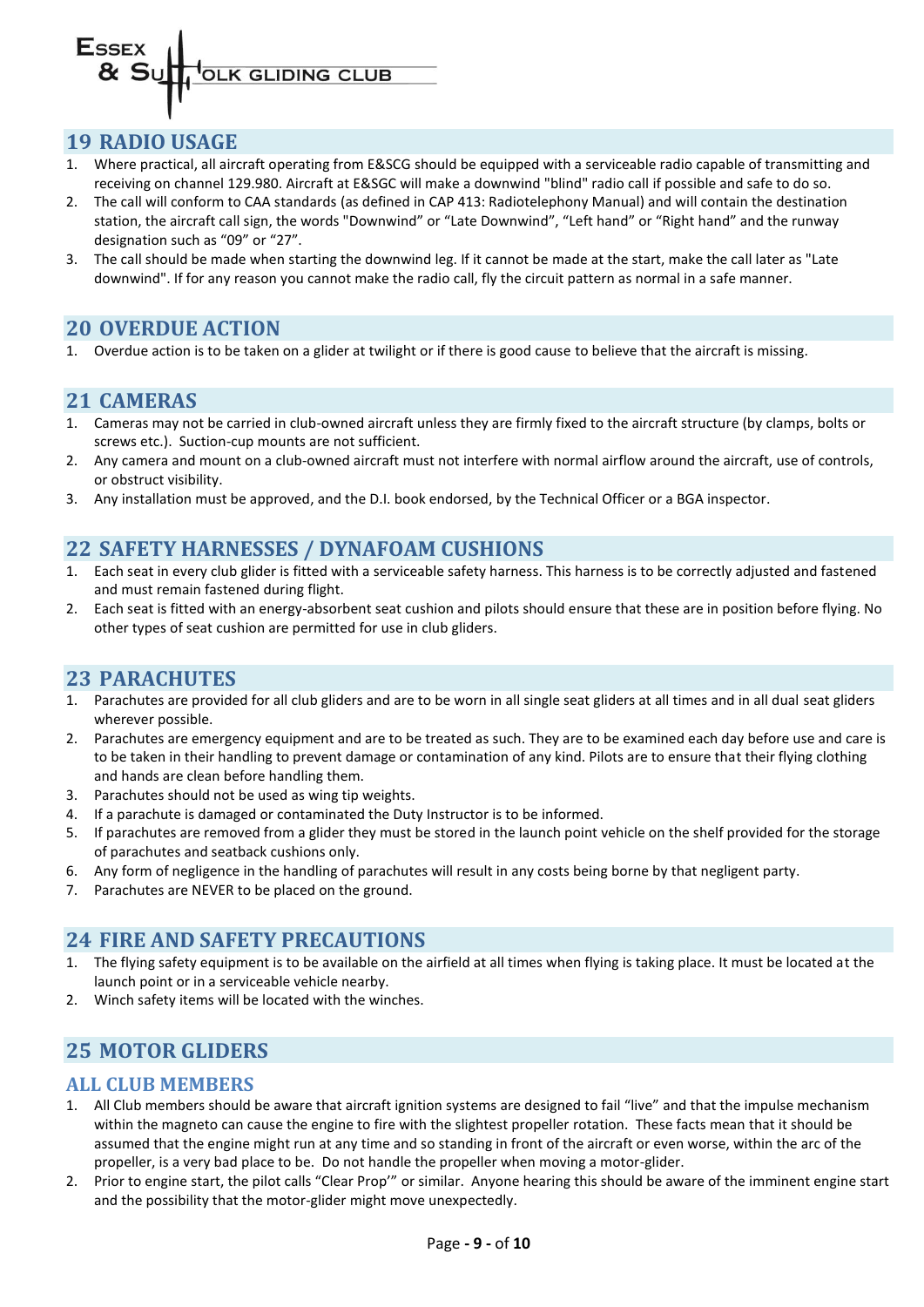#### <span id="page-8-0"></span>**19 RADIO USAGE**

- 1. Where practical, all aircraft operating from E&SCG should be equipped with a serviceable radio capable of transmitting and receiving on channel 129.980. Aircraft at E&SGC will make a downwind "blind" radio call if possible and safe to do so.
- 2. The call will conform to CAA standards (as defined in CAP 413: Radiotelephony Manual) and will contain the destination station, the aircraft call sign, the words "Downwind" or "Late Downwind", "Left hand" or "Right hand" and the runway designation such as "09" or "27".
- 3. The call should be made when starting the downwind leg. If it cannot be made at the start, make the call later as "Late downwind". If for any reason you cannot make the radio call, fly the circuit pattern as normal in a safe manner.

#### <span id="page-8-1"></span>**20 OVERDUE ACTION**

<span id="page-8-2"></span>1. Overdue action is to be taken on a glider at twilight or if there is good cause to believe that the aircraft is missing.

### **21 CAMERAS**

- 1. Cameras may not be carried in club-owned aircraft unless they are firmly fixed to the aircraft structure (by clamps, bolts or screws etc.). Suction-cup mounts are not sufficient.
- 2. Any camera and mount on a club-owned aircraft must not interfere with normal airflow around the aircraft, use of controls, or obstruct visibility.
- <span id="page-8-3"></span>3. Any installation must be approved, and the D.I. book endorsed, by the Technical Officer or a BGA inspector.

### **22 SAFETY HARNESSES / DYNAFOAM CUSHIONS**

- 1. Each seat in every club glider is fitted with a serviceable safety harness. This harness is to be correctly adjusted and fastened and must remain fastened during flight.
- 2. Each seat is fitted with an energy-absorbent seat cushion and pilots should ensure that these are in position before flying. No other types of seat cushion are permitted for use in club gliders.

### <span id="page-8-4"></span>**23 PARACHUTES**

- 1. Parachutes are provided for all club gliders and are to be worn in all single seat gliders at all times and in all dual seat gliders wherever possible.
- 2. Parachutes are emergency equipment and are to be treated as such. They are to be examined each day before use and care is to be taken in their handling to prevent damage or contamination of any kind. Pilots are to ensure that their flying clothing and hands are clean before handling them.
- 3. Parachutes should not be used as wing tip weights.
- 4. If a parachute is damaged or contaminated the Duty Instructor is to be informed.
- 5. If parachutes are removed from a glider they must be stored in the launch point vehicle on the shelf provided for the storage of parachutes and seatback cushions only.
- 6. Any form of negligence in the handling of parachutes will result in any costs being borne by that negligent party.
- <span id="page-8-5"></span>7. Parachutes are NEVER to be placed on the ground.

### **24 FIRE AND SAFETY PRECAUTIONS**

- 1. The flying safety equipment is to be available on the airfield at all times when flying is taking place. It must be located at the launch point or in a serviceable vehicle nearby.
- <span id="page-8-6"></span>2. Winch safety items will be located with the winches.

# **25 MOTOR GLIDERS**

#### <span id="page-8-7"></span>**ALL CLUB MEMBERS**

- 1. All Club members should be aware that aircraft ignition systems are designed to fail "live" and that the impulse mechanism within the magneto can cause the engine to fire with the slightest propeller rotation. These facts mean that it should be assumed that the engine might run at any time and so standing in front of the aircraft or even worse, within the arc of the propeller, is a very bad place to be. Do not handle the propeller when moving a motor-glider.
- 2. Prior to engine start, the pilot calls "Clear Prop'" or similar. Anyone hearing this should be aware of the imminent engine start and the possibility that the motor-glider might move unexpectedly.